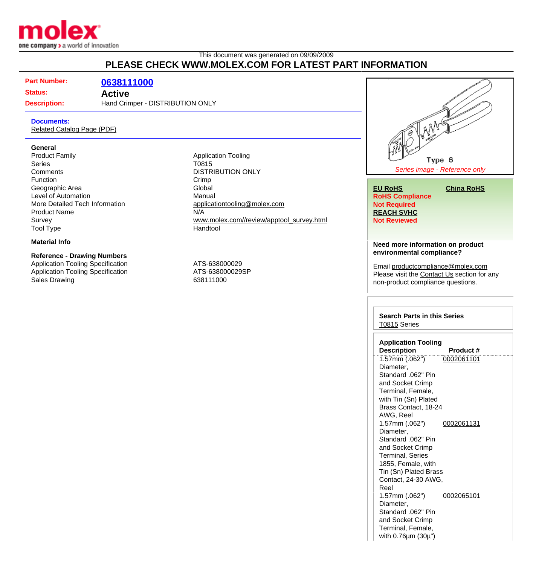

## This document was generated on 09/09/2009 **PLEASE CHECK WWW.MOLEX.COM FOR LATEST PART INFORMATION**

**Part Number: [0638111000](http://www.molex.com/molex/products/datasheet.jsp?part=active/0638111000_APPLICATION_TOOLIN.xml&channel=Products&Lang=en-US)**

# **Status: Active**

# **Description:** Hand Crimper - DISTRIBUTION ONLY

**Documents:**

[Related Catalog Page \(PDF\)](http://www.molex.com/molex/products/relatedCatalogs.jsp?series=T0815&channel=Products&Lang=en-US)

### **General**

Product Family **Application Tooling Application Tooling** Series **TO815** Comments DISTRIBUTION ONLY Function Crimp<br>
Ceographic Area Contract Crimp<br>
Clobal Geographic Area Level of Automation **Manual** More Detailed Tech Information and [applicationtooling@molex.com](mailto:applicationtooling@molex.com) Product Name N/A Tool Type **Handtool** 

### **Material Info**

### **Reference - Drawing Numbers**

Application Tooling Specification Material ATS-638000029 Application Tooling Specification ATS-638000029SP Sales Drawing **638111000** 

Survey [www.molex.com//review/apptool\\_survey.html](http://www.molex.com//review/apptool_survey.html)



### **Need more information on product environmental compliance?**

Email [productcompliance@molex.com](mailto:productcompliance@molex.com) Please visit the [Contact Us](http://www.molex.com/molex/contact/mxcontact.jsp?channel=Contact Us&channelId=-8863) section for any non-product compliance questions.

### **Search Parts in this Series** [T0815](http://www.molex.com/molex/products/listview.jsp?query=T0815&sType=s) Series

| <b>Application Tooling</b>    |                  |  |
|-------------------------------|------------------|--|
| <b>Description</b>            | <b>Product #</b> |  |
| 1.57mm (.062")                | 0002061101       |  |
| Diameter,                     |                  |  |
| Standard .062" Pin            |                  |  |
| and Socket Crimp              |                  |  |
| Terminal, Female,             |                  |  |
| with Tin (Sn) Plated          |                  |  |
| Brass Contact, 18-24          |                  |  |
| AWG, Reel                     |                  |  |
| 1.57mm (.062")                | 0002061131       |  |
| Diameter,                     |                  |  |
| Standard .062" Pin            |                  |  |
| and Socket Crimp              |                  |  |
| Terminal, Series              |                  |  |
| 1855, Female, with            |                  |  |
| Tin (Sn) Plated Brass         |                  |  |
| Contact, 24-30 AWG,           |                  |  |
| Reel                          |                  |  |
| 1.57mm (.062")                | 0002065101       |  |
| Diameter,                     |                  |  |
| Standard .062" Pin            |                  |  |
| and Socket Crimp              |                  |  |
| Terminal, Female,             |                  |  |
| with $0.76\mu m$ (30 $\mu$ ") |                  |  |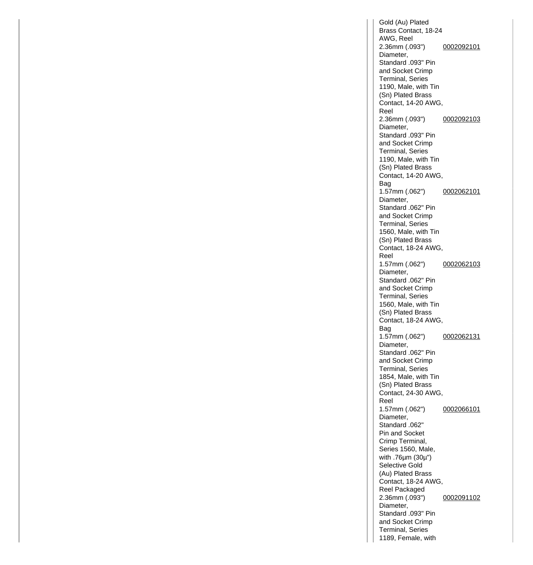Gold (Au) Plated Brass Contact, 18-24 AWG, Reel 2.36mm (.093") Diameter, Standard .093" Pin and Socket Crimp Terminal, Series 1190, Male, with Tin (Sn) Plated Brass Contact, 14-20 AWG, Reel [0002092101](http://www.molex.com/molex/products/datasheet.jsp?part=active/0002092101_CRIMP_TERMINALS.xml&channel=Products&Lang=en-US) 2.36mm (.093") Diameter, Standard .093" Pin and Socket Crimp Terminal, Series 1190, Male, with Tin (Sn) Plated Brass Contact, 14-20 AWG, Bag [0002092103](http://www.molex.com/molex/products/datasheet.jsp?part=active/0002092103_CRIMP_TERMINALS.xml&channel=Products&Lang=en-US) 1.57mm (.062") Diameter, Standard .062" Pin and Socket Crimp Terminal, Series 1560, Male, with Tin (Sn) Plated Brass Contact, 18-24 AWG, Reel [0002062101](http://www.molex.com/molex/products/datasheet.jsp?part=active/0002062101_CRIMP_TERMINALS.xml&channel=Products&Lang=en-US) 1.57mm (.062") Diameter, Standard .062" Pin and Socket Crimp Terminal, Series 1560, Male, with Tin (Sn) Plated Brass Contact, 18-24 AWG, Bag [0002062103](http://www.molex.com/molex/products/datasheet.jsp?part=active/0002062103_CRIMP_TERMINALS.xml&channel=Products&Lang=en-US) 1.57mm (.062") Diameter, Standard .062" Pin and Socket Crimp Terminal, Series 1854, Male, with Tin (Sn) Plated Brass Contact, 24-30 AWG, Reel [0002062131](http://www.molex.com/molex/products/datasheet.jsp?part=active/0002062131_CRIMP_TERMINALS.xml&channel=Products&Lang=en-US) 1.57mm (.062") Diameter, Standard .062" Pin and Socket Crimp Terminal, Series 1560, Male, with .76µm (30µ") Selective Gold (Au) Plated Brass Contact, 18-24 AWG, Reel Packaged [0002066101](http://www.molex.com/molex/products/datasheet.jsp?part=active/0002066101_CRIMP_TERMINALS.xml&channel=Products&Lang=en-US) 2.36mm (.093") Diameter, Standard .093" Pin and Socket Crimp Terminal, Series 1189, Female, with [0002091102](http://www.molex.com/molex/products/datasheet.jsp?part=active/0002091102_CRIMP_TERMINALS.xml&channel=Products&Lang=en-US)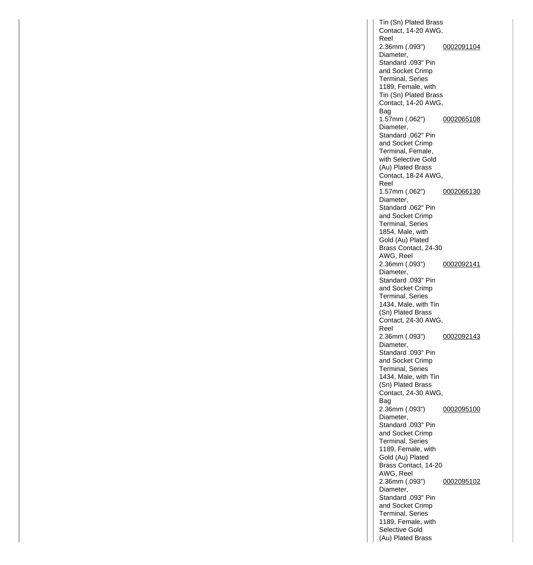Tin (Sn) Plated Brass Contact, 14-20 AWG, Reel 2.36mm (.093") Diameter, Standard .093" Pin and Socket Crimp Terminal, Series 1189, Female, with Tin (Sn) Plated Brass Contact, 14-20 AWG, Bag [0002091104](http://www.molex.com/molex/products/datasheet.jsp?part=active/0002091104_CRIMP_TERMINALS.xml&channel=Products&Lang=en-US) 1.57mm (.062") Diameter, Standard .062" Pin and Socket Crimp Terminal, Female, with Selective Gold (Au) Plated Brass Contact, 18-24 AWG, Reel [0002065108](http://www.molex.com/molex/products/datasheet.jsp?part=active/0002065108_CRIMP_TERMINALS.xml&channel=Products&Lang=en-US) 1.57mm (.062") Diameter, Standard .062" Pin and Socket Crimp Terminal, Series 1854, Male, with Gold (Au) Plated Brass Contact, 24-30 AWG, Reel [0002066130](http://www.molex.com/molex/products/datasheet.jsp?part=active/0002066130_CRIMP_TERMINALS.xml&channel=Products&Lang=en-US) 2.36mm (.093") Diameter, Standard .093" Pin and Socket Crimp Terminal, Series 1434, Male, with Tin (Sn) Plated Brass Contact, 24-30 AWG, Reel [0002092141](http://www.molex.com/molex/products/datasheet.jsp?part=active/0002092141_CRIMP_TERMINALS.xml&channel=Products&Lang=en-US) 2.36mm (.093") Diameter, Standard .093" Pin and Socket Crimp Terminal, Series 1434, Male, with Tin (Sn) Plated Brass Contact, 24-30 AWG, Bag [0002092143](http://www.molex.com/molex/products/datasheet.jsp?part=active/0002092143_CRIMP_TERMINALS.xml&channel=Products&Lang=en-US) 2.36mm (.093") Diameter, Standard .093" Pin and Socket Crimp Terminal, Series 1189, Female, with Gold (Au) Plated Brass Contact, 14-20 AWG, Reel [0002095100](http://www.molex.com/molex/products/datasheet.jsp?part=active/0002095100_CRIMP_TERMINALS.xml&channel=Products&Lang=en-US) 2.36mm (.093") Diameter, Standard .093" Pin and Socket Crimp Terminal, Series 1189, Female, with Selective Gold (Au) Plated Brass [0002095102](http://www.molex.com/molex/products/datasheet.jsp?part=active/0002095102_CRIMP_TERMINALS.xml&channel=Products&Lang=en-US)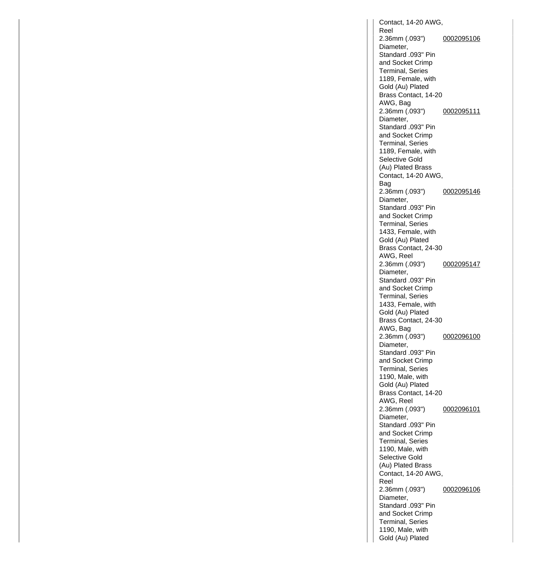Contact, 14-20 AWG, Reel 2.36mm (.093") Diameter, Standard .093" Pin and Socket Crimp Terminal, Series 1189, Female, with Gold (Au) Plated Brass Contact, 14-20 AWG, Bag [0002095106](http://www.molex.com/molex/products/datasheet.jsp?part=active/0002095106_CRIMP_TERMINALS.xml&channel=Products&Lang=en-US) 2.36mm (.093") Diameter, Standard .093" Pin and Socket Crimp Terminal, Series 1189, Female, with Selective Gold (Au) Plated Brass Contact, 14-20 AWG, Bag [0002095111](http://www.molex.com/molex/products/datasheet.jsp?part=active/0002095111_CRIMP_TERMINALS.xml&channel=Products&Lang=en-US) 2.36mm (.093") Diameter, Standard .093" Pin and Socket Crimp Terminal, Series 1433, Female, with Gold (Au) Plated Brass Contact, 24-30 AWG, Reel [0002095146](http://www.molex.com/molex/products/datasheet.jsp?part=active/0002095146_CRIMP_TERMINALS.xml&channel=Products&Lang=en-US) 2.36mm (.093") Diameter, Standard .093" Pin and Socket Crimp Terminal, Series 1433, Female, with Gold (Au) Plated Brass Contact, 24-30 AWG, Bag [0002095147](http://www.molex.com/molex/products/datasheet.jsp?part=active/0002095147_CRIMP_TERMINALS.xml&channel=Products&Lang=en-US) 2.36mm (.093") Diameter, Standard .093" Pin and Socket Crimp Terminal, Series 1190, Male, with Gold (Au) Plated Brass Contact, 14-20 AWG, Reel [0002096100](http://www.molex.com/molex/products/datasheet.jsp?part=active/0002096100_CRIMP_TERMINALS.xml&channel=Products&Lang=en-US) 2.36mm (.093") Diameter, Standard .093" Pin and Socket Crimp Terminal, Series 1190, Male, with Selective Gold (Au) Plated Brass Contact, 14-20 AWG, Reel [0002096101](http://www.molex.com/molex/products/datasheet.jsp?part=active/0002096101_CRIMP_TERMINALS.xml&channel=Products&Lang=en-US) 2.36mm (.093") Diameter, Standard .093" Pin and Socket Crimp Terminal, Series 1190, Male, with Gold (Au) Plated [0002096106](http://www.molex.com/molex/products/datasheet.jsp?part=active/0002096106_CRIMP_TERMINALS.xml&channel=Products&Lang=en-US)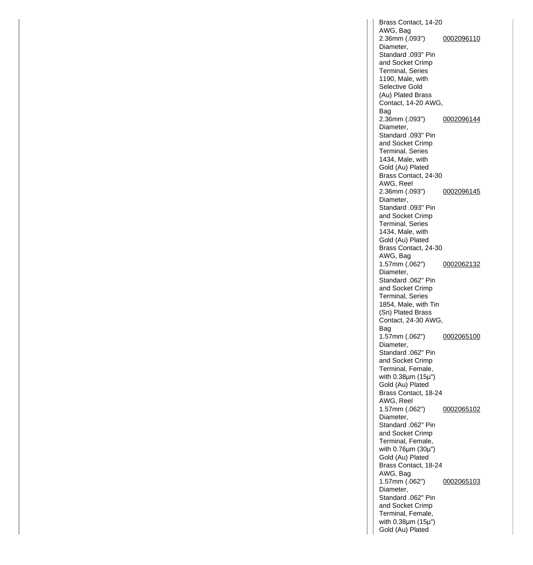Brass Contact, 14-20 AWG, Bag 2.36mm (.093") Diameter, Standard .093" Pin and Socket Crimp Terminal, Series 1190, Male, with Selective Gold (Au) Plated Brass Contact, 14-20 AWG, Bag [0002096110](http://www.molex.com/molex/products/datasheet.jsp?part=active/0002096110_CRIMP_TERMINALS.xml&channel=Products&Lang=en-US) 2.36mm (.093") Diameter, Standard .093" Pin and Socket Crimp Terminal, Series 1434, Male, with Gold (Au) Plated Brass Contact, 24-30 AWG, Reel [0002096144](http://www.molex.com/molex/products/datasheet.jsp?part=active/0002096144_CRIMP_TERMINALS.xml&channel=Products&Lang=en-US) 2.36mm (.093") Diameter, Standard .093" Pin and Socket Crimp Terminal, Series 1434, Male, with Gold (Au) Plated Brass Contact, 24-30 AWG, Bag [0002096145](http://www.molex.com/molex/products/datasheet.jsp?part=active/0002096145_CRIMP_TERMINALS.xml&channel=Products&Lang=en-US) 1.57mm (.062") Diameter, Standard .062" Pin and Socket Crimp Terminal, Series 1854, Male, with Tin (Sn) Plated Brass Contact, 24-30 AWG, Bag [0002062132](http://www.molex.com/molex/products/datasheet.jsp?part=active/0002062132_CRIMP_TERMINALS.xml&channel=Products&Lang=en-US) 1.57mm (.062") Diameter, Standard .062" Pin and Socket Crimp Terminal, Female, with 0.38µm (15µ") Gold (Au) Plated Brass Contact, 18-24 AWG, Reel [0002065100](http://www.molex.com/molex/products/datasheet.jsp?part=active/0002065100_CRIMP_TERMINALS.xml&channel=Products&Lang=en-US) 1.57mm (.062") Diameter, Standard .062" Pin and Socket Crimp Terminal, Female, with 0.76µm (30µ") Gold (Au) Plated Brass Contact, 18-24 AWG, Bag [0002065102](http://www.molex.com/molex/products/datasheet.jsp?part=active/0002065102_CRIMP_TERMINALS.xml&channel=Products&Lang=en-US) 1.57mm (.062") Diameter, Standard .062" Pin and Socket Crimp Terminal, Female, with 0.38µm (15µ") Gold (Au) Plated [0002065103](http://www.molex.com/molex/products/datasheet.jsp?part=active/0002065103_CRIMP_TERMINALS.xml&channel=Products&Lang=en-US)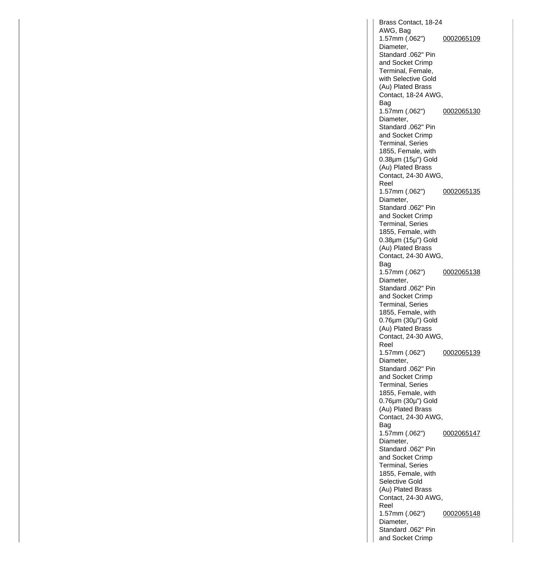Brass Contact, 18-24 AWG, Bag 1.57mm (.062") Diameter, Standard .062" Pin and Socket Crimp Terminal, Female, with Selective Gold (Au) Plated Brass Contact, 18-24 AWG, Bag [0002065109](http://www.molex.com/molex/products/datasheet.jsp?part=active/0002065109_CRIMP_TERMINALS.xml&channel=Products&Lang=en-US) 1.57mm (.062") Diameter, Standard .062" Pin and Socket Crimp Terminal, Series 1855, Female, with 0.38µm (15µ") Gold (Au) Plated Brass Contact, 24-30 AWG, Reel [0002065130](http://www.molex.com/molex/products/datasheet.jsp?part=active/0002065130_CRIMP_TERMINALS.xml&channel=Products&Lang=en-US) 1.57mm (.062") Diameter, Standard .062" Pin and Socket Crimp Terminal, Series 1855, Female, with 0.38µm (15µ") Gold (Au) Plated Brass Contact, 24-30 AWG, Bag [0002065135](http://www.molex.com/molex/products/datasheet.jsp?part=active/0002065135_CRIMP_TERMINALS.xml&channel=Products&Lang=en-US) 1.57mm (.062") Diameter, Standard .062" Pin and Socket Crimp Terminal, Series 1855, Female, with 0.76µm (30µ") Gold (Au) Plated Brass Contact, 24-30 AWG, Reel [0002065138](http://www.molex.com/molex/products/datasheet.jsp?part=active/0002065138_CRIMP_TERMINALS.xml&channel=Products&Lang=en-US) 1.57mm (.062") Diameter, Standard .062" Pin and Socket Crimp Terminal, Series 1855, Female, with 0.76µm (30µ") Gold (Au) Plated Brass Contact, 24-30 AWG, Bag [0002065139](http://www.molex.com/molex/products/datasheet.jsp?part=active/0002065139_CRIMP_TERMINALS.xml&channel=Products&Lang=en-US) 1.57mm (.062") Diameter, Standard .062" Pin and Socket Crimp Terminal, Series 1855, Female, with Selective Gold (Au) Plated Brass Contact, 24-30 AWG, Reel [0002065147](http://www.molex.com/molex/products/datasheet.jsp?part=active/0002065147_CRIMP_TERMINALS.xml&channel=Products&Lang=en-US) 1.57mm (.062") Diameter, Standard .062" Pin and Socket Crimp [0002065148](http://www.molex.com/molex/products/datasheet.jsp?part=active/0002065148_CRIMP_TERMINALS.xml&channel=Products&Lang=en-US)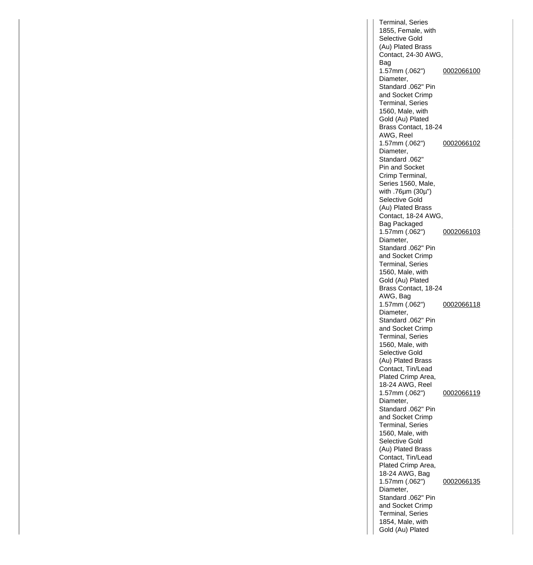Terminal, Series 1855, Female, with Selective Gold (Au) Plated Brass Contact, 24-30 AWG, Bag 1.57mm (.062") Diameter, Standard .062" Pin and Socket Crimp Terminal, Series 1560, Male, with Gold (Au) Plated Brass Contact, 18-24 AWG, Reel [0002066100](http://www.molex.com/molex/products/datasheet.jsp?part=active/0002066100_CRIMP_TERMINALS.xml&channel=Products&Lang=en-US) 1.57mm (.062") Diameter. Standard .062" Pin and Socket Crimp Terminal, Series 1560, Male, with .76µm (30µ") Selective Gold (Au) Plated Brass Contact, 18-24 AWG, Bag Packaged [0002066102](http://www.molex.com/molex/products/datasheet.jsp?part=active/0002066102_CRIMP_TERMINALS.xml&channel=Products&Lang=en-US) 1.57mm (.062") Diameter. Standard .062" Pin and Socket Crimp Terminal, Series 1560, Male, with Gold (Au) Plated Brass Contact, 18-24 AWG, Bag [0002066103](http://www.molex.com/molex/products/datasheet.jsp?part=active/0002066103_CRIMP_TERMINALS.xml&channel=Products&Lang=en-US) 1.57mm (.062") Diameter, Standard .062" Pin and Socket Crimp Terminal, Series 1560, Male, with Selective Gold (Au) Plated Brass Contact, Tin/Lead Plated Crimp Area, 18-24 AWG, Reel [0002066118](http://www.molex.com/molex/products/datasheet.jsp?part=active/0002066118_CRIMP_TERMINALS.xml&channel=Products&Lang=en-US) 1.57mm (.062") Diameter, Standard .062" Pin and Socket Crimp Terminal, Series 1560, Male, with Selective Gold (Au) Plated Brass Contact, Tin/Lead Plated Crimp Area, 18-24 AWG, Bag [0002066119](http://www.molex.com/molex/products/datasheet.jsp?part=active/0002066119_CRIMP_TERMINALS.xml&channel=Products&Lang=en-US) 1.57mm (.062") Diameter, Standard .062" Pin and Socket Crimp Terminal, Series 1854, Male, with Gold (Au) Plated [0002066135](http://www.molex.com/molex/products/datasheet.jsp?part=active/0002066135_CRIMP_TERMINALS.xml&channel=Products&Lang=en-US)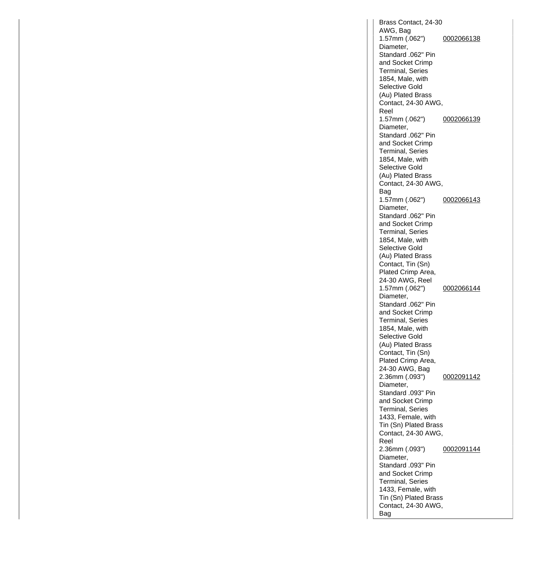Brass Contact, 24-30 AWG, Bag 1.57mm (.062") Diameter, Standard .062" Pin and Socket Crimp Terminal, Series 1854, Male, with Selective Gold (Au) Plated Brass Contact, 24-30 AWG, Reel [0002066138](http://www.molex.com/molex/products/datasheet.jsp?part=active/0002066138_CRIMP_TERMINALS.xml&channel=Products&Lang=en-US) 1.57mm (.062") Diameter, Standard .062" Pin and Socket Crimp Terminal, Series 1854, Male, with Selective Gold (Au) Plated Brass Contact, 24-30 AWG, Bag [0002066139](http://www.molex.com/molex/products/datasheet.jsp?part=active/0002066139_CRIMP_TERMINALS.xml&channel=Products&Lang=en-US) 1.57mm (.062") Diameter, Standard .062" Pin and Socket Crimp Terminal, Series 1854, Male, with Selective Gold (Au) Plated Brass Contact, Tin (Sn) Plated Crimp Area, 24-30 AWG, Reel [0002066143](http://www.molex.com/molex/products/datasheet.jsp?part=active/0002066143_CRIMP_TERMINALS.xml&channel=Products&Lang=en-US) 1.57mm (.062") Diameter, Standard .062" Pin and Socket Crimp Terminal, Series 1854, Male, with Selective Gold (Au) Plated Brass Contact, Tin (Sn) Plated Crimp Area, 24-30 AWG, Bag [0002066144](http://www.molex.com/molex/products/datasheet.jsp?part=active/0002066144_CRIMP_TERMINALS.xml&channel=Products&Lang=en-US) 2.36mm (.093") Diameter, Standard .093" Pin and Socket Crimp Terminal, Series 1433, Female, with Tin (Sn) Plated Brass Contact, 24-30 AWG, Reel [0002091142](http://www.molex.com/molex/products/datasheet.jsp?part=active/0002091142_CRIMP_TERMINALS.xml&channel=Products&Lang=en-US) 2.36mm (.093") Diameter, Standard .093" Pin and Socket Crimp Terminal, Series 1433, Female, with Tin (Sn) Plated Brass Contact, 24-30 AWG, Bag [0002091144](http://www.molex.com/molex/products/datasheet.jsp?part=active/0002091144_CRIMP_TERMINALS.xml&channel=Products&Lang=en-US)